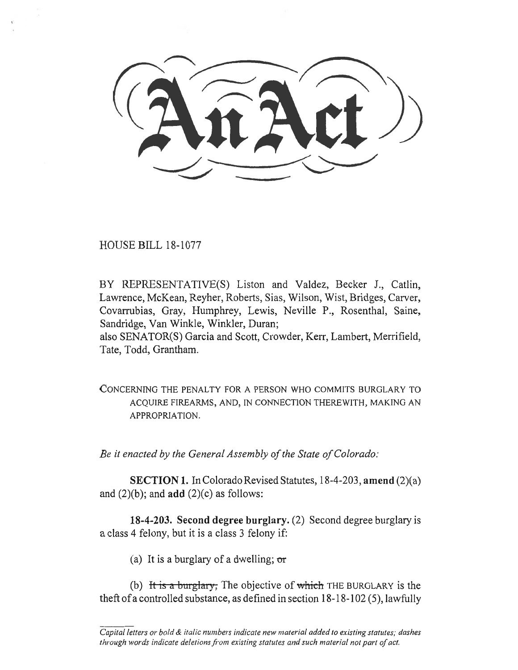HOUSE BILL 18-1077

BY REPRESENTATIVE(S) Liston and Valdez, Becker J., Catlin, Lawrence, McKean, Reyher, Roberts, Sias, Wilson, Wist, Bridges, Carver, Covarrubias, Gray, Humphrey, Lewis, Neville P., Rosenthal, Saine, Sandridge, Van Winkle, Winkler, Duran;

also SENATOR(S) Garcia and Scott, Crowder, Kerr, Lambert, Merrifield, Tate, Todd, Grantham.

CONCERNING THE PENALTY FOR A PERSON WHO COMMITS BURGLARY TO ACQUIRE FIREARMS, AND, IN CONNECTION THEREWITH, MAKING AN APPROPRIATION.

*Be it enacted by the General Assembly of the State of Colorado:* 

**SECTION 1.** In Colorado Revised Statutes, 18-4-203, **amend** (2)(a) and  $(2)(b)$ ; and **add**  $(2)(c)$  as follows:

**18-4-203. Second degree burglary.** (2) Second degree burglary is a class 4 felony, but it is a class 3 felony if:

(a) It is a burglary of a dwelling;  $\sigma r$ 

(b) It is a burglary, The objective of which THE BURGLARY is the theft of a controlled substance, as defined in section 18-18-102 (5), lawfully

*Capital letters or bold & italic numbers indicate new material added to existing statutes; dashes through words indicate deletions from existing statutes and such material not part of act.*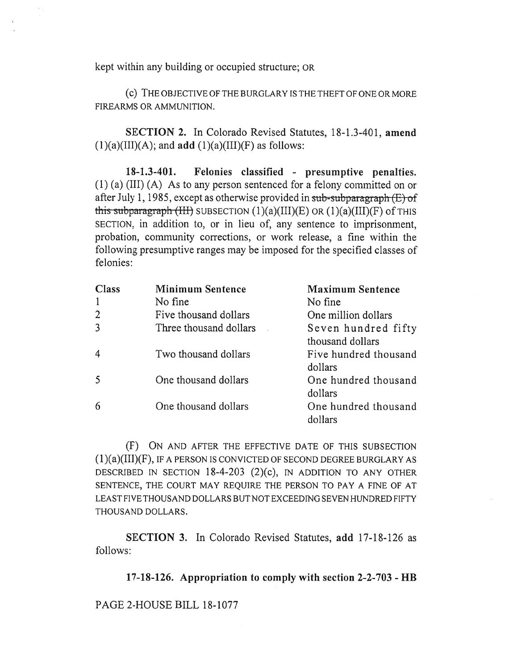kept within any building or occupied structure; OR

(C) THE OBJECTIVE OF THE BURGLARY IS THE THEFT OF ONE OR MORE FIREARMS OR AMMUNITION.

**SECTION 2.** In Colorado Revised Statutes, 18-1.3-401, **amend**   $(1)(a)(III)(A)$ ; and **add**  $(1)(a)(III)(F)$  as follows:

**18-1.3-401. Felonies classified - presumptive penalties.**  (1) (a) (III) (A) As to any person sentenced for a felony committed on or after July 1, 1985, except as otherwise provided in sub-subparagraph  $(E)$  of this subparagraph  $(HH)$  SUBSECTION  $(1)(a)(III)(E)$  OR  $(1)(a)(III)(F)$  of THIS SECTION, in addition to, or in lieu of, any sentence to imprisonment, probation, community corrections, or work release, a fine within the following presumptive ranges may be imposed for the specified classes of felonies:

| Class | <b>Minimum Sentence</b> | <b>Maximum Sentence</b>                 |
|-------|-------------------------|-----------------------------------------|
|       | No fine                 | No fine                                 |
|       | Five thousand dollars   | One million dollars                     |
|       | Three thousand dollars  | Seven hundred fifty<br>thousand dollars |
| 4     | Two thousand dollars    | Five hundred thousand<br>dollars        |
|       | One thousand dollars    | One hundred thousand<br>dollars         |
|       | One thousand dollars    | One hundred thousand<br>dollars         |

(F) ON AND AFTER THE EFFECTIVE DATE OF THIS SUBSECTION  $(1)(a)(III)(F)$ , IF A PERSON IS CONVICTED OF SECOND DEGREE BURGLARY AS DESCRIBED IN SECTION 18-4-203 (2)(c), IN ADDITION TO ANY OTHER SENTENCE, THE COURT MAY REQUIRE THE PERSON TO PAY A FINE OF AT LEAST FIVE THOUSAND DOLLARS BUT NOT EXCEEDING SEVEN HUNDRED FIFTY THOUSAND DOLLARS.

**SECTION 3.** In Colorado Revised Statutes, **add** 17-18-126 as follows:

**17-18-126. Appropriation to comply with section 2-2-703 - HB** 

PAGE 2-HOUSE BILL 18-1077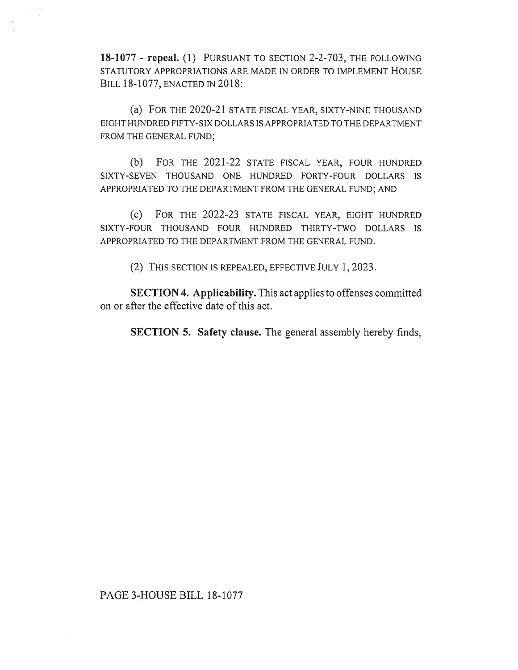**18-1077 - repeal. (1)** PURSUANT TO SECTION 2-2-703, THE FOLLOWING STATUTORY APPROPRIATIONS ARE MADE IN ORDER TO IMPLEMENT HOUSE BILL 18-1077, ENACTED IN 2018:

(a) FOR THE 2020-21 STATE FISCAL YEAR, SIXTY-NINE THOUSAND EIGHT HUNDRED FIFTY-SIX DOLLARS IS APPROPRIATED TO THE DEPARTMENT FROM THE GENERAL FUND;

(b) FOR THE 2021-22 STATE FISCAL YEAR, FOUR HUNDRED SIXTY-SEVEN THOUSAND ONE HUNDRED FORTY-FOUR DOLLARS IS APPROPRIATED TO THE DEPARTMENT FROM THE GENERAL FUND; AND

(c) FOR THE 2022-23 STATE FISCAL YEAR, EIGHT HUNDRED SIXTY-FOUR THOUSAND FOUR HUNDRED THIRTY-TWO DOLLARS IS APPROPRIATED TO THE DEPARTMENT FROM THE GENERAL FUND.

(2) THIS SECTION IS REPEALED, EFFECTIVE JULY 1, 2023.

**SECTION 4. Applicability.** This act applies to offenses committed on or after the effective date of this act.

**SECTION 5. Safety clause.** The general assembly hereby finds,

## PAGE 3-HOUSE BILL 18-1077